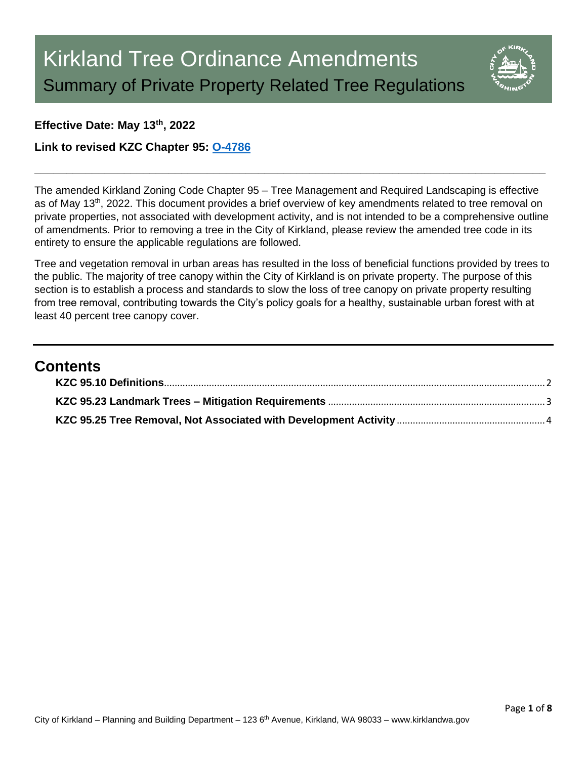

#### **Effective Date: May 13th, 2022**

**Link to revised KZC Chapter 95: [O-4786](https://www.kirklandwa.gov/files/sharedassets/public/planning-amp-building/kzc-95-o-4786-adopted.pdf)**

The amended Kirkland Zoning Code Chapter 95 – Tree Management and Required Landscaping is effective as of May 13<sup>th</sup>, 2022. This document provides a brief overview of key amendments related to tree removal on private properties, not associated with development activity, and is not intended to be a comprehensive outline of amendments. Prior to removing a tree in the City of Kirkland, please review the amended tree code in its entirety to ensure the applicable regulations are followed.

**\_\_\_\_\_\_\_\_\_\_\_\_\_\_\_\_\_\_\_\_\_\_\_\_\_\_\_\_\_\_\_\_\_\_\_\_\_\_\_\_\_\_\_\_\_\_\_\_\_\_\_\_\_\_\_\_\_\_\_\_\_\_\_\_\_\_\_\_\_\_\_\_\_\_\_\_\_\_\_\_**

Tree and vegetation removal in urban areas has resulted in the loss of beneficial functions provided by trees to the public. The majority of tree canopy within the City of Kirkland is on private property. The purpose of this section is to establish a process and standards to slow the loss of tree canopy on private property resulting from tree removal, contributing towards the City's policy goals for a healthy, sustainable urban forest with at least 40 percent tree canopy cover.

# **Contents**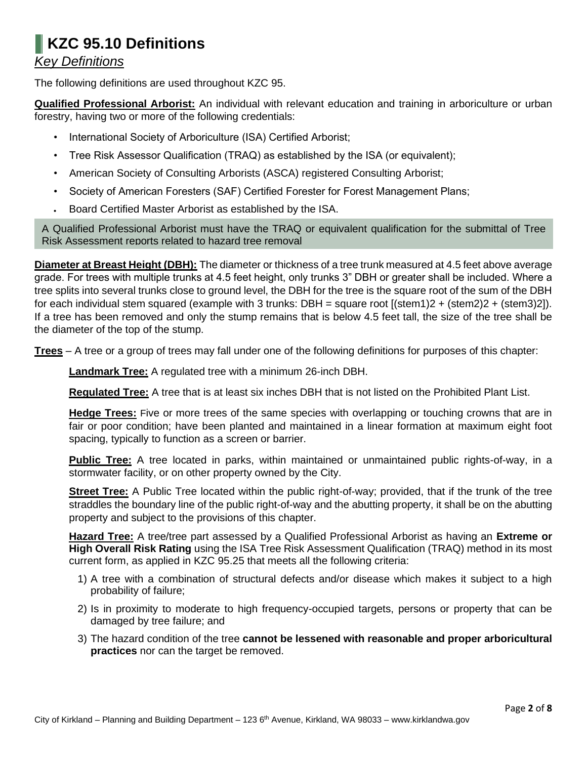# <span id="page-1-0"></span>**KZC 95.10 Definitions**  *Key Definitions*

The following definitions are used throughout KZC 95.

**Qualified Professional Arborist:** An individual with relevant education and training in arboriculture or urban forestry, having two or more of the following credentials:

- International Society of Arboriculture (ISA) Certified Arborist;
- Tree Risk Assessor Qualification (TRAQ) as established by the ISA (or equivalent);
- American Society of Consulting Arborists (ASCA) registered Consulting Arborist;
- Society of American Foresters (SAF) Certified Forester for Forest Management Plans;
- Board Certified Master Arborist as established by the ISA.

A Qualified Professional Arborist must have the TRAQ or equivalent qualification for the submittal of Tree Risk Assessment reports related to hazard tree removal

**Diameter at Breast Height (DBH):** The diameter or thickness of a tree trunk measured at 4.5 feet above average grade. For trees with multiple trunks at 4.5 feet height, only trunks 3" DBH or greater shall be included. Where a tree splits into several trunks close to ground level, the DBH for the tree is the square root of the sum of the DBH for each individual stem squared (example with 3 trunks: DBH = square root [(stem1)2 + (stem2)2 + (stem3)2]). If a tree has been removed and only the stump remains that is below 4.5 feet tall, the size of the tree shall be the diameter of the top of the stump.

**Trees** – A tree or a group of trees may fall under one of the following definitions for purposes of this chapter:

**Landmark Tree:** A regulated tree with a minimum 26-inch DBH.

**Regulated Tree:** A tree that is at least six inches DBH that is not listed on the Prohibited Plant List.

**Hedge Trees:** Five or more trees of the same species with overlapping or touching crowns that are in fair or poor condition; have been planted and maintained in a linear formation at maximum eight foot spacing, typically to function as a screen or barrier.

**Public Tree:** A tree located in parks, within maintained or unmaintained public rights-of-way, in a stormwater facility, or on other property owned by the City.

**Street Tree:** A Public Tree located within the public right-of-way; provided, that if the trunk of the tree straddles the boundary line of the public right-of-way and the abutting property, it shall be on the abutting property and subject to the provisions of this chapter.

**Hazard Tree:** A tree/tree part assessed by a Qualified Professional Arborist as having an **Extreme or High Overall Risk Rating** using the ISA Tree Risk Assessment Qualification (TRAQ) method in its most current form, as applied in KZC 95.25 that meets all the following criteria:

- 1) A tree with a combination of structural defects and/or disease which makes it subject to a high probability of failure;
- 2) Is in proximity to moderate to high frequency-occupied targets, persons or property that can be damaged by tree failure; and
- 3) The hazard condition of the tree **cannot be lessened with reasonable and proper arboricultural practices** nor can the target be removed.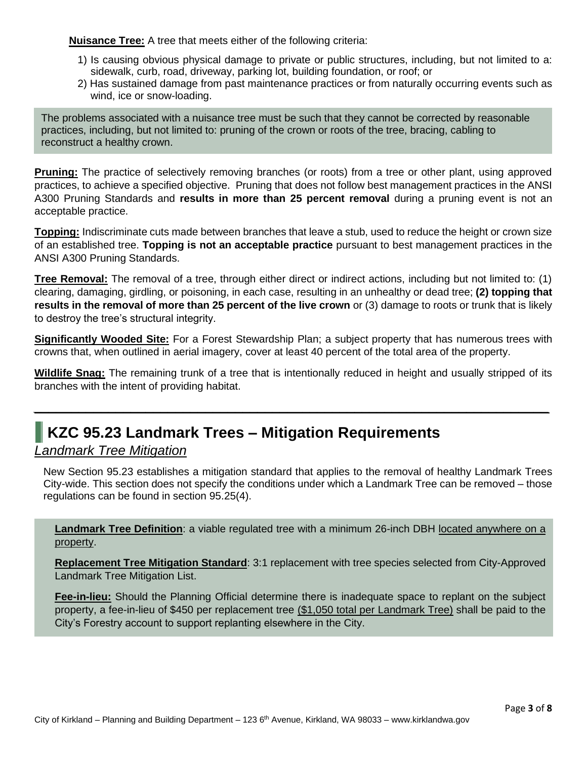**Nuisance Tree:** A tree that meets either of the following criteria:

- 1) Is causing obvious physical damage to private or public structures, including, but not limited to a: sidewalk, curb, road, driveway, parking lot, building foundation, or roof; or
- 2) Has sustained damage from past maintenance practices or from naturally occurring events such as wind, ice or snow-loading.

The problems associated with a nuisance tree must be such that they cannot be corrected by reasonable practices, including, but not limited to: pruning of the crown or roots of the tree, bracing, cabling to reconstruct a healthy crown.

**Pruning:** The practice of selectively removing branches (or roots) from a tree or other plant, using approved practices, to achieve a specified objective. Pruning that does not follow best management practices in the ANSI A300 Pruning Standards and **results in more than 25 percent removal** during a pruning event is not an acceptable practice.

**Topping:** Indiscriminate cuts made between branches that leave a stub, used to reduce the height or crown size of an established tree. **Topping is not an acceptable practice** pursuant to best management practices in the ANSI A300 Pruning Standards.

**Tree Removal:** The removal of a tree, through either direct or indirect actions, including but not limited to: (1) clearing, damaging, girdling, or poisoning, in each case, resulting in an unhealthy or dead tree; **(2) topping that results in the removal of more than 25 percent of the live crown** or (3) damage to roots or trunk that is likely to destroy the tree's structural integrity.

**Significantly Wooded Site:** For a Forest Stewardship Plan; a subject property that has numerous trees with crowns that, when outlined in aerial imagery, cover at least 40 percent of the total area of the property.

**Wildlife Snag:** The remaining trunk of a tree that is intentionally reduced in height and usually stripped of its branches with the intent of providing habitat.

*\_\_\_\_\_\_\_\_\_\_\_\_\_\_\_\_\_\_\_\_\_\_\_\_\_\_\_\_\_\_\_\_\_\_\_\_\_\_\_\_\_\_\_\_\_\_\_\_\_\_\_\_\_\_\_\_\_\_\_\_\_\_\_\_\_\_\_\_\_*

# <span id="page-2-0"></span>**KZC 95.23 Landmark Trees – Mitigation Requirements**

### *Landmark Tree Mitigation*

New Section 95.23 establishes a mitigation standard that applies to the removal of healthy Landmark Trees City-wide. This section does not specify the conditions under which a Landmark Tree can be removed – those regulations can be found in section 95.25(4).

**Landmark Tree Definition**: a viable regulated tree with a minimum 26-inch DBH located anywhere on a property.

**Replacement Tree Mitigation Standard**: 3:1 replacement with tree species selected from City-Approved Landmark Tree Mitigation List.

**Fee-in-lieu:** Should the Planning Official determine there is inadequate space to replant on the subject property, a fee-in-lieu of \$450 per replacement tree (\$1,050 total per Landmark Tree) shall be paid to the City's Forestry account to support replanting elsewhere in the City.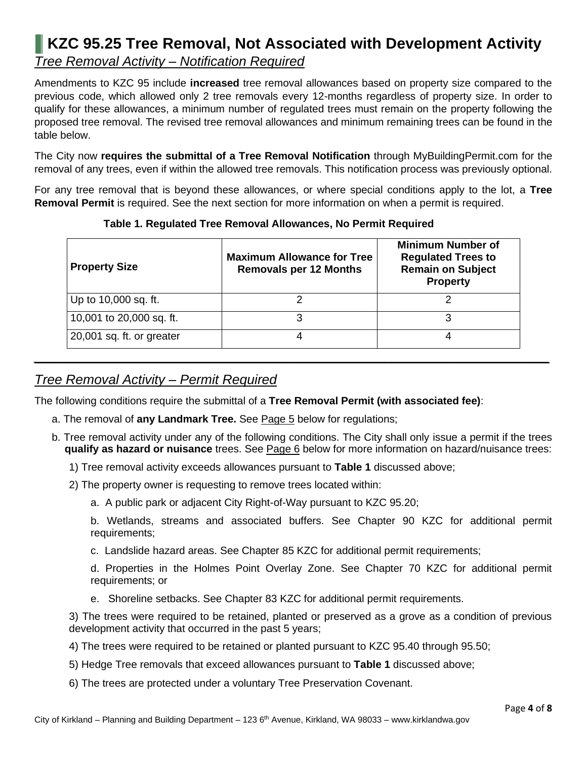# <span id="page-3-0"></span>**KZC 95.25 Tree Removal, Not Associated with Development Activity**  *Tree Removal Activity – Notification Required*

Amendments to KZC 95 include **increased** tree removal allowances based on property size compared to the previous code, which allowed only 2 tree removals every 12-months regardless of property size. In order to qualify for these allowances, a minimum number of regulated trees must remain on the property following the proposed tree removal. The revised tree removal allowances and minimum remaining trees can be found in the table below.

The City now **requires the submittal of a Tree Removal Notification** through MyBuildingPermit.com for the removal of any trees, even if within the allowed tree removals. This notification process was previously optional.

For any tree removal that is beyond these allowances, or where special conditions apply to the lot, a **Tree Removal Permit** is required. See the next section for more information on when a permit is required.

| <b>Property Size</b>      | <b>Maximum Allowance for Tree</b><br><b>Removals per 12 Months</b> | <b>Minimum Number of</b><br><b>Regulated Trees to</b><br><b>Remain on Subject</b><br><b>Property</b> |
|---------------------------|--------------------------------------------------------------------|------------------------------------------------------------------------------------------------------|
| Up to 10,000 sq. ft.      |                                                                    |                                                                                                      |
| 10,001 to 20,000 sq. ft.  |                                                                    |                                                                                                      |
| 20,001 sq. ft. or greater |                                                                    |                                                                                                      |

*\_\_\_\_\_\_\_\_\_\_\_\_\_\_\_\_\_\_\_\_\_\_\_\_\_\_\_\_\_\_\_\_\_\_\_\_\_\_\_\_\_\_\_\_\_\_\_\_\_\_\_\_\_\_\_\_\_\_\_\_\_\_\_\_\_\_\_\_\_*

**Table 1. Regulated Tree Removal Allowances, No Permit Required**

## *Tree Removal Activity – Permit Required*

The following conditions require the submittal of a **Tree Removal Permit (with associated fee)**:

- a. The removal of **any Landmark Tree.** See Page 5 below for regulations;
- b. Tree removal activity under any of the following conditions. The City shall only issue a permit if the trees **qualify as hazard or nuisance** trees. See Page 6 below for more information on hazard/nuisance trees:
	- 1) Tree removal activity exceeds allowances pursuant to **Table 1** discussed above;
	- 2) The property owner is requesting to remove trees located within:
		- a. A public park or adjacent City Right-of-Way pursuant to KZC 95.20;

b. Wetlands, streams and associated buffers. See Chapter 90 KZC for additional permit requirements;

c. Landslide hazard areas. See Chapter 85 KZC for additional permit requirements;

d. Properties in the Holmes Point Overlay Zone. See Chapter 70 KZC for additional permit requirements; or

e. Shoreline setbacks. See Chapter 83 KZC for additional permit requirements.

3) The trees were required to be retained, planted or preserved as a grove as a condition of previous development activity that occurred in the past 5 years;

- 4) The trees were required to be retained or planted pursuant to KZC 95.40 through 95.50;
- 5) Hedge Tree removals that exceed allowances pursuant to **Table 1** discussed above;
- 6) The trees are protected under a voluntary Tree Preservation Covenant.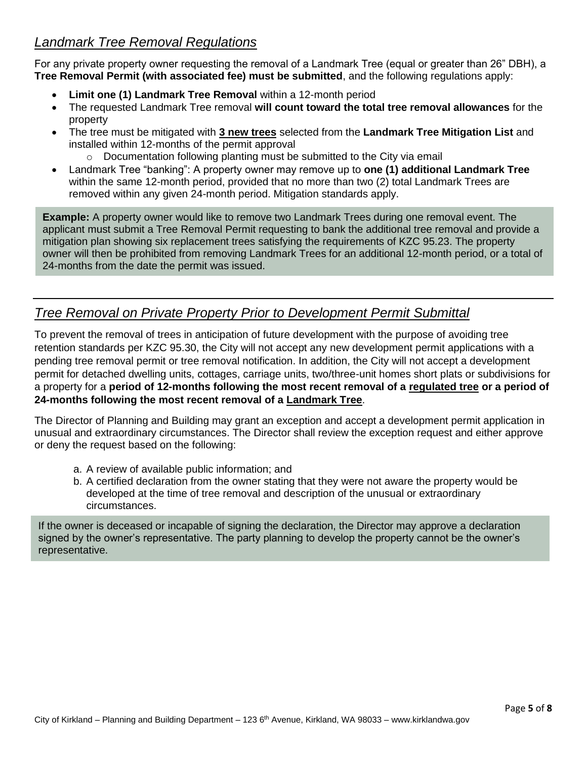# *Landmark Tree Removal Regulations*

For any private property owner requesting the removal of a Landmark Tree (equal or greater than 26" DBH), a **Tree Removal Permit (with associated fee) must be submitted**, and the following regulations apply:

- **Limit one (1) Landmark Tree Removal** within a 12-month period
- The requested Landmark Tree removal **will count toward the total tree removal allowances** for the property
- The tree must be mitigated with **3 new trees** selected from the **Landmark Tree Mitigation List** and installed within 12-months of the permit approval
	- o Documentation following planting must be submitted to the City via email
- Landmark Tree "banking": A property owner may remove up to **one (1) additional Landmark Tree** within the same 12-month period, provided that no more than two (2) total Landmark Trees are removed within any given 24-month period. Mitigation standards apply.

**Example:** A property owner would like to remove two Landmark Trees during one removal event. The applicant must submit a Tree Removal Permit requesting to bank the additional tree removal and provide a mitigation plan showing six replacement trees satisfying the requirements of KZC 95.23. The property owner will then be prohibited from removing Landmark Trees for an additional 12-month period, or a total of 24-months from the date the permit was issued.

### *Tree Removal on Private Property Prior to Development Permit Submittal*

To prevent the removal of trees in anticipation of future development with the purpose of avoiding tree retention standards per KZC 95.30, the City will not accept any new development permit applications with a pending tree removal permit or tree removal notification. In addition, the City will not accept a development permit for detached dwelling units, cottages, carriage units, two/three-unit homes short plats or subdivisions for a property for a **period of 12-months following the most recent removal of a regulated tree or a period of 24-months following the most recent removal of a Landmark Tree**.

The Director of Planning and Building may grant an exception and accept a development permit application in unusual and extraordinary circumstances. The Director shall review the exception request and either approve or deny the request based on the following:

- a. A review of available public information; and
- b. A certified declaration from the owner stating that they were not aware the property would be developed at the time of tree removal and description of the unusual or extraordinary circumstances.

If the owner is deceased or incapable of signing the declaration, the Director may approve a declaration signed by the owner's representative. The party planning to develop the property cannot be the owner's representative.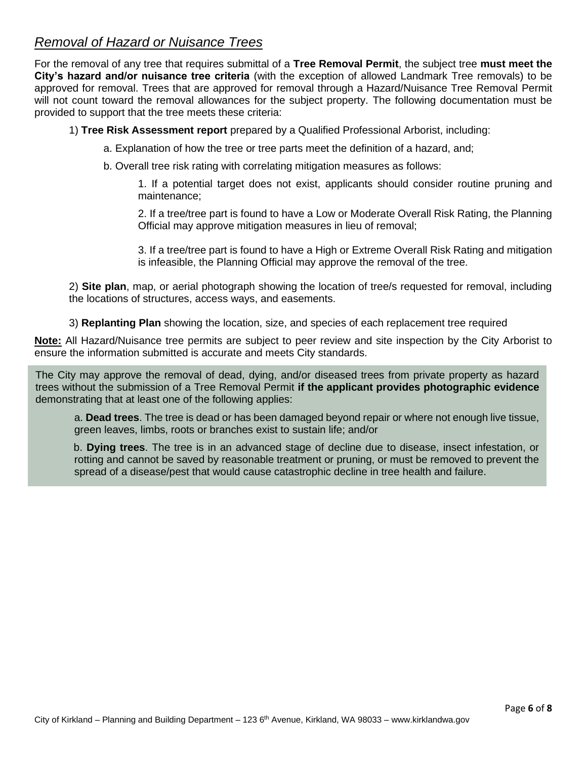# *Removal of Hazard or Nuisance Trees*

For the removal of any tree that requires submittal of a **Tree Removal Permit**, the subject tree **must meet the City's hazard and/or nuisance tree criteria** (with the exception of allowed Landmark Tree removals) to be approved for removal. Trees that are approved for removal through a Hazard/Nuisance Tree Removal Permit will not count toward the removal allowances for the subject property. The following documentation must be provided to support that the tree meets these criteria:

1) **Tree Risk Assessment report** prepared by a Qualified Professional Arborist, including:

a. Explanation of how the tree or tree parts meet the definition of a hazard, and;

b. Overall tree risk rating with correlating mitigation measures as follows:

1. If a potential target does not exist, applicants should consider routine pruning and maintenance;

2. If a tree/tree part is found to have a Low or Moderate Overall Risk Rating, the Planning Official may approve mitigation measures in lieu of removal;

3. If a tree/tree part is found to have a High or Extreme Overall Risk Rating and mitigation is infeasible, the Planning Official may approve the removal of the tree.

2) **Site plan**, map, or aerial photograph showing the location of tree/s requested for removal, including the locations of structures, access ways, and easements.

3) **Replanting Plan** showing the location, size, and species of each replacement tree required

**Note:** All Hazard/Nuisance tree permits are subject to peer review and site inspection by the City Arborist to ensure the information submitted is accurate and meets City standards.

The City may approve the removal of dead, dying, and/or diseased trees from private property as hazard trees without the submission of a Tree Removal Permit **if the applicant provides photographic evidence** demonstrating that at least one of the following applies:

a. **Dead trees**. The tree is dead or has been damaged beyond repair or where not enough live tissue, green leaves, limbs, roots or branches exist to sustain life; and/or

b. **Dying trees**. The tree is in an advanced stage of decline due to disease, insect infestation, or rotting and cannot be saved by reasonable treatment or pruning, or must be removed to prevent the spread of a disease/pest that would cause catastrophic decline in tree health and failure.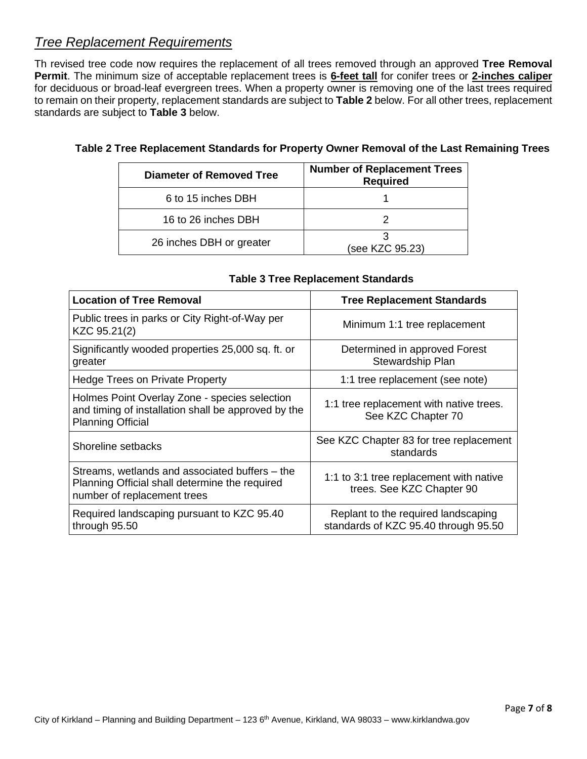## *Tree Replacement Requirements*

Th revised tree code now requires the replacement of all trees removed through an approved **Tree Removal Permit**. The minimum size of acceptable replacement trees is **6-feet tall** for conifer trees or **2-inches caliper** for deciduous or broad-leaf evergreen trees. When a property owner is removing one of the last trees required to remain on their property, replacement standards are subject to **Table 2** below. For all other trees, replacement standards are subject to **Table 3** below.

| Diameter of Removed Tree | <b>Number of Replacement Trees</b><br><b>Required</b> |
|--------------------------|-------------------------------------------------------|
| 6 to 15 inches DBH       |                                                       |
| 16 to 26 inches DBH      |                                                       |
| 26 inches DBH or greater | (see KZC 95.23)                                       |

#### **Table 2 Tree Replacement Standards for Property Owner Removal of the Last Remaining Trees**

| <b>Location of Tree Removal</b>                                                                                                  | <b>Tree Replacement Standards</b>                                           |
|----------------------------------------------------------------------------------------------------------------------------------|-----------------------------------------------------------------------------|
| Public trees in parks or City Right-of-Way per<br>KZC 95.21(2)                                                                   | Minimum 1:1 tree replacement                                                |
| Significantly wooded properties 25,000 sq. ft. or<br>greater                                                                     | Determined in approved Forest<br>Stewardship Plan                           |
| <b>Hedge Trees on Private Property</b>                                                                                           | 1:1 tree replacement (see note)                                             |
| Holmes Point Overlay Zone - species selection<br>and timing of installation shall be approved by the<br><b>Planning Official</b> | 1:1 tree replacement with native trees.<br>See KZC Chapter 70               |
| Shoreline setbacks                                                                                                               | See KZC Chapter 83 for tree replacement<br>standards                        |
| Streams, wetlands and associated buffers – the<br>Planning Official shall determine the required<br>number of replacement trees  | 1:1 to 3:1 tree replacement with native<br>trees. See KZC Chapter 90        |
| Required landscaping pursuant to KZC 95.40<br>through 95.50                                                                      | Replant to the required landscaping<br>standards of KZC 95.40 through 95.50 |

#### **Table 3 Tree Replacement Standards**